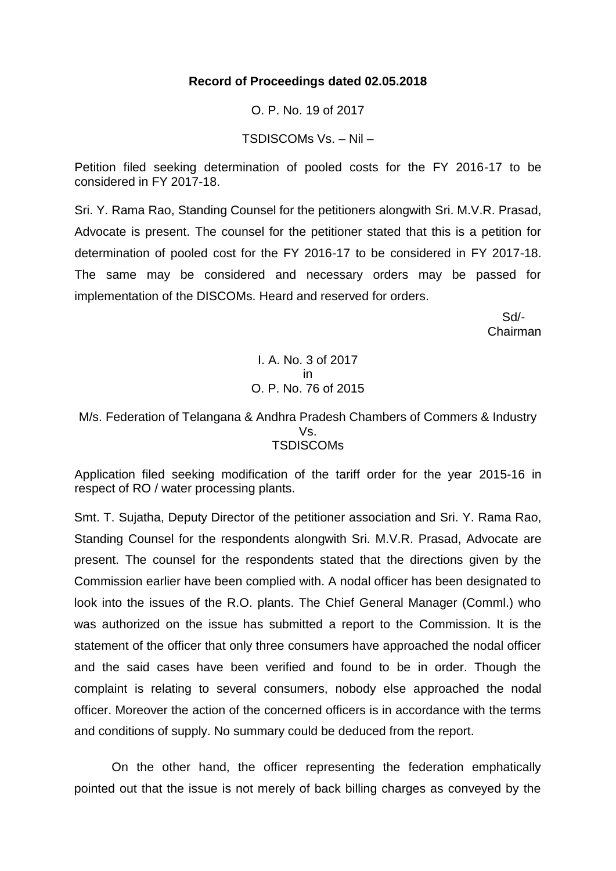## **Record of Proceedings dated 02.05.2018**

O. P. No. 19 of 2017

#### TSDISCOMs Vs. – Nil –

Petition filed seeking determination of pooled costs for the FY 2016-17 to be considered in FY 2017-18.

Sri. Y. Rama Rao, Standing Counsel for the petitioners alongwith Sri. M.V.R. Prasad, Advocate is present. The counsel for the petitioner stated that this is a petition for determination of pooled cost for the FY 2016-17 to be considered in FY 2017-18. The same may be considered and necessary orders may be passed for implementation of the DISCOMs. Heard and reserved for orders.

 Sd/- Chairman

> I. A. No. 3 of 2017 in O. P. No. 76 of 2015

### M/s. Federation of Telangana & Andhra Pradesh Chambers of Commers & Industry Vs. **TSDISCOMs**

Application filed seeking modification of the tariff order for the year 2015-16 in respect of RO / water processing plants.

Smt. T. Sujatha, Deputy Director of the petitioner association and Sri. Y. Rama Rao, Standing Counsel for the respondents alongwith Sri. M.V.R. Prasad, Advocate are present. The counsel for the respondents stated that the directions given by the Commission earlier have been complied with. A nodal officer has been designated to look into the issues of the R.O. plants. The Chief General Manager (Comml.) who was authorized on the issue has submitted a report to the Commission. It is the statement of the officer that only three consumers have approached the nodal officer and the said cases have been verified and found to be in order. Though the complaint is relating to several consumers, nobody else approached the nodal officer. Moreover the action of the concerned officers is in accordance with the terms and conditions of supply. No summary could be deduced from the report.

On the other hand, the officer representing the federation emphatically pointed out that the issue is not merely of back billing charges as conveyed by the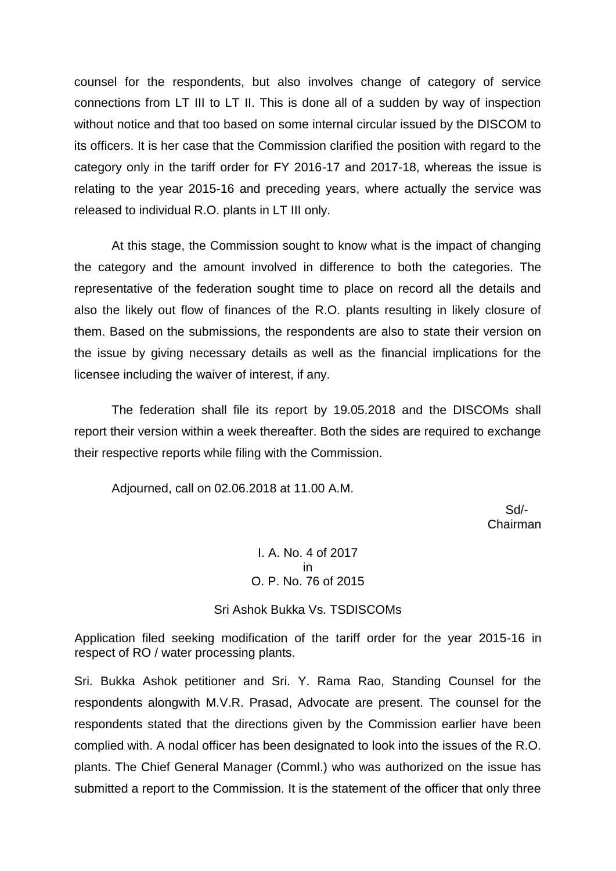counsel for the respondents, but also involves change of category of service connections from LT III to LT II. This is done all of a sudden by way of inspection without notice and that too based on some internal circular issued by the DISCOM to its officers. It is her case that the Commission clarified the position with regard to the category only in the tariff order for FY 2016-17 and 2017-18, whereas the issue is relating to the year 2015-16 and preceding years, where actually the service was released to individual R.O. plants in LT III only.

At this stage, the Commission sought to know what is the impact of changing the category and the amount involved in difference to both the categories. The representative of the federation sought time to place on record all the details and also the likely out flow of finances of the R.O. plants resulting in likely closure of them. Based on the submissions, the respondents are also to state their version on the issue by giving necessary details as well as the financial implications for the licensee including the waiver of interest, if any.

The federation shall file its report by 19.05.2018 and the DISCOMs shall report their version within a week thereafter. Both the sides are required to exchange their respective reports while filing with the Commission.

Adjourned, call on 02.06.2018 at 11.00 A.M.

 Sd/- Chairman

> I. A. No. 4 of 2017 in O. P. No. 76 of 2015

Sri Ashok Bukka Vs. TSDISCOMs

Application filed seeking modification of the tariff order for the year 2015-16 in respect of RO / water processing plants.

Sri. Bukka Ashok petitioner and Sri. Y. Rama Rao, Standing Counsel for the respondents alongwith M.V.R. Prasad, Advocate are present. The counsel for the respondents stated that the directions given by the Commission earlier have been complied with. A nodal officer has been designated to look into the issues of the R.O. plants. The Chief General Manager (Comml.) who was authorized on the issue has submitted a report to the Commission. It is the statement of the officer that only three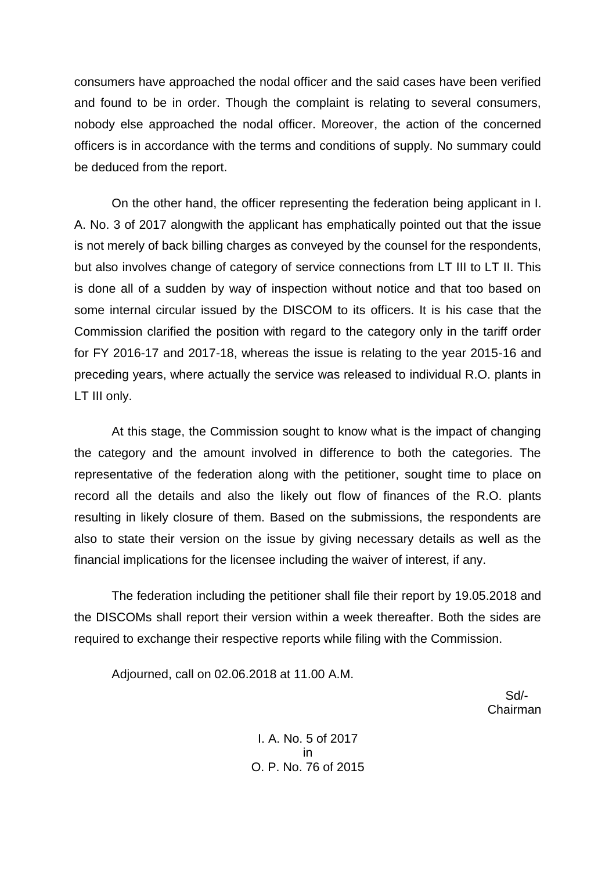consumers have approached the nodal officer and the said cases have been verified and found to be in order. Though the complaint is relating to several consumers, nobody else approached the nodal officer. Moreover, the action of the concerned officers is in accordance with the terms and conditions of supply. No summary could be deduced from the report.

On the other hand, the officer representing the federation being applicant in I. A. No. 3 of 2017 alongwith the applicant has emphatically pointed out that the issue is not merely of back billing charges as conveyed by the counsel for the respondents, but also involves change of category of service connections from LT III to LT II. This is done all of a sudden by way of inspection without notice and that too based on some internal circular issued by the DISCOM to its officers. It is his case that the Commission clarified the position with regard to the category only in the tariff order for FY 2016-17 and 2017-18, whereas the issue is relating to the year 2015-16 and preceding years, where actually the service was released to individual R.O. plants in LT III only.

At this stage, the Commission sought to know what is the impact of changing the category and the amount involved in difference to both the categories. The representative of the federation along with the petitioner, sought time to place on record all the details and also the likely out flow of finances of the R.O. plants resulting in likely closure of them. Based on the submissions, the respondents are also to state their version on the issue by giving necessary details as well as the financial implications for the licensee including the waiver of interest, if any.

The federation including the petitioner shall file their report by 19.05.2018 and the DISCOMs shall report their version within a week thereafter. Both the sides are required to exchange their respective reports while filing with the Commission.

Adjourned, call on 02.06.2018 at 11.00 A.M.

 Sd/- Chairman

> I. A. No. 5 of 2017 in O. P. No. 76 of 2015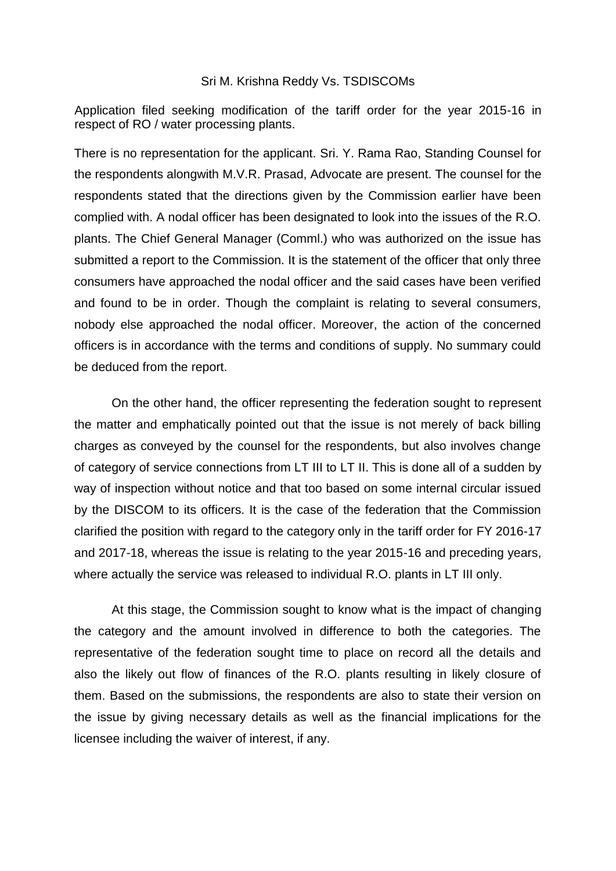#### Sri M. Krishna Reddy Vs. TSDISCOMs

Application filed seeking modification of the tariff order for the year 2015-16 in respect of RO / water processing plants.

There is no representation for the applicant. Sri. Y. Rama Rao, Standing Counsel for the respondents alongwith M.V.R. Prasad, Advocate are present. The counsel for the respondents stated that the directions given by the Commission earlier have been complied with. A nodal officer has been designated to look into the issues of the R.O. plants. The Chief General Manager (Comml.) who was authorized on the issue has submitted a report to the Commission. It is the statement of the officer that only three consumers have approached the nodal officer and the said cases have been verified and found to be in order. Though the complaint is relating to several consumers, nobody else approached the nodal officer. Moreover, the action of the concerned officers is in accordance with the terms and conditions of supply. No summary could be deduced from the report.

On the other hand, the officer representing the federation sought to represent the matter and emphatically pointed out that the issue is not merely of back billing charges as conveyed by the counsel for the respondents, but also involves change of category of service connections from LT III to LT II. This is done all of a sudden by way of inspection without notice and that too based on some internal circular issued by the DISCOM to its officers. It is the case of the federation that the Commission clarified the position with regard to the category only in the tariff order for FY 2016-17 and 2017-18, whereas the issue is relating to the year 2015-16 and preceding years, where actually the service was released to individual R.O. plants in LT III only.

At this stage, the Commission sought to know what is the impact of changing the category and the amount involved in difference to both the categories. The representative of the federation sought time to place on record all the details and also the likely out flow of finances of the R.O. plants resulting in likely closure of them. Based on the submissions, the respondents are also to state their version on the issue by giving necessary details as well as the financial implications for the licensee including the waiver of interest, if any.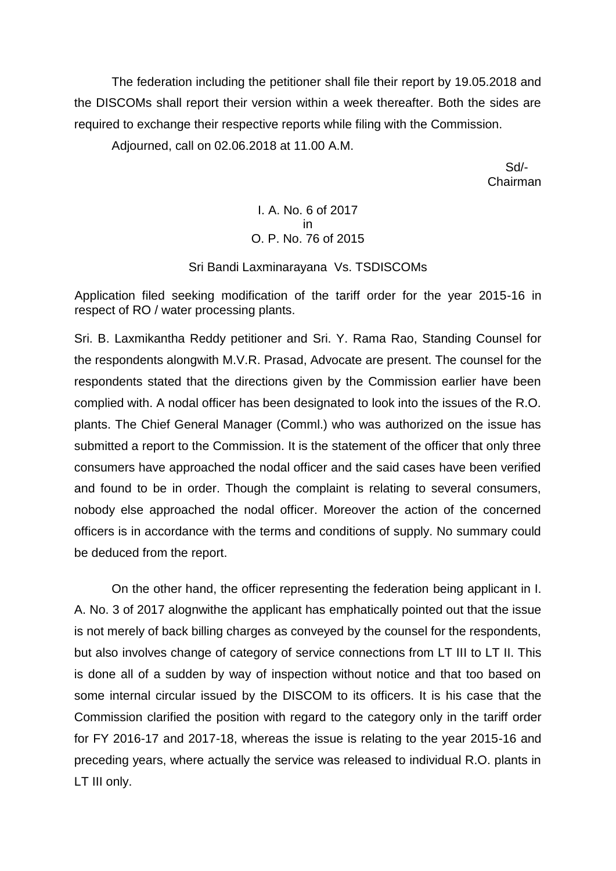The federation including the petitioner shall file their report by 19.05.2018 and the DISCOMs shall report their version within a week thereafter. Both the sides are required to exchange their respective reports while filing with the Commission.

Adjourned, call on 02.06.2018 at 11.00 A.M.

 Sd/- Chairman

> I. A. No. 6 of 2017 in O. P. No. 76 of 2015

## Sri Bandi Laxminarayana Vs. TSDISCOMs

Application filed seeking modification of the tariff order for the year 2015-16 in respect of RO / water processing plants.

Sri. B. Laxmikantha Reddy petitioner and Sri. Y. Rama Rao, Standing Counsel for the respondents alongwith M.V.R. Prasad, Advocate are present. The counsel for the respondents stated that the directions given by the Commission earlier have been complied with. A nodal officer has been designated to look into the issues of the R.O. plants. The Chief General Manager (Comml.) who was authorized on the issue has submitted a report to the Commission. It is the statement of the officer that only three consumers have approached the nodal officer and the said cases have been verified and found to be in order. Though the complaint is relating to several consumers, nobody else approached the nodal officer. Moreover the action of the concerned officers is in accordance with the terms and conditions of supply. No summary could be deduced from the report.

On the other hand, the officer representing the federation being applicant in I. A. No. 3 of 2017 alognwithe the applicant has emphatically pointed out that the issue is not merely of back billing charges as conveyed by the counsel for the respondents, but also involves change of category of service connections from LT III to LT II. This is done all of a sudden by way of inspection without notice and that too based on some internal circular issued by the DISCOM to its officers. It is his case that the Commission clarified the position with regard to the category only in the tariff order for FY 2016-17 and 2017-18, whereas the issue is relating to the year 2015-16 and preceding years, where actually the service was released to individual R.O. plants in LT III only.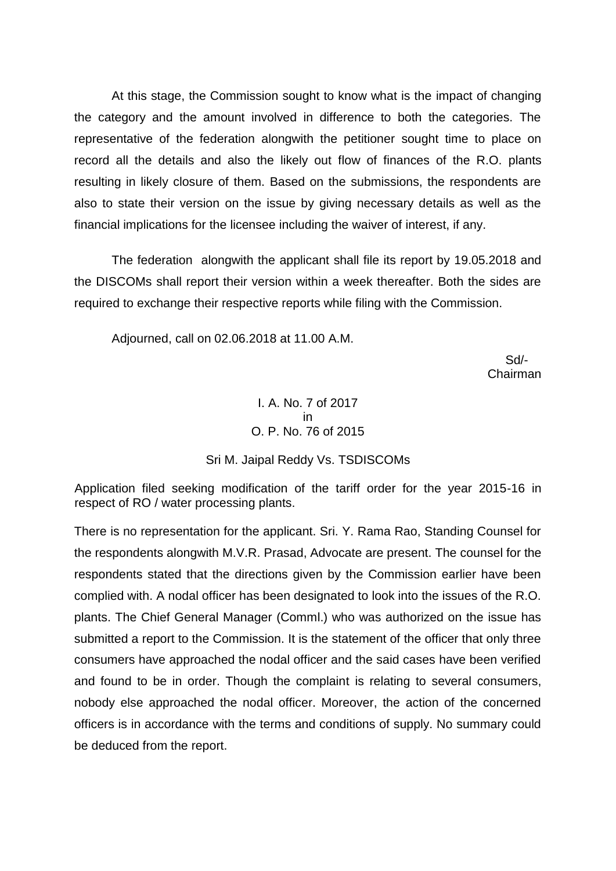At this stage, the Commission sought to know what is the impact of changing the category and the amount involved in difference to both the categories. The representative of the federation alongwith the petitioner sought time to place on record all the details and also the likely out flow of finances of the R.O. plants resulting in likely closure of them. Based on the submissions, the respondents are also to state their version on the issue by giving necessary details as well as the financial implications for the licensee including the waiver of interest, if any.

The federation alongwith the applicant shall file its report by 19.05.2018 and the DISCOMs shall report their version within a week thereafter. Both the sides are required to exchange their respective reports while filing with the Commission.

Adjourned, call on 02.06.2018 at 11.00 A.M.

 Sd/- Chairman

## I. A. No. 7 of 2017 in O. P. No. 76 of 2015

## Sri M. Jaipal Reddy Vs. TSDISCOMs

Application filed seeking modification of the tariff order for the year 2015-16 in respect of RO / water processing plants.

There is no representation for the applicant. Sri. Y. Rama Rao, Standing Counsel for the respondents alongwith M.V.R. Prasad, Advocate are present. The counsel for the respondents stated that the directions given by the Commission earlier have been complied with. A nodal officer has been designated to look into the issues of the R.O. plants. The Chief General Manager (Comml.) who was authorized on the issue has submitted a report to the Commission. It is the statement of the officer that only three consumers have approached the nodal officer and the said cases have been verified and found to be in order. Though the complaint is relating to several consumers, nobody else approached the nodal officer. Moreover, the action of the concerned officers is in accordance with the terms and conditions of supply. No summary could be deduced from the report.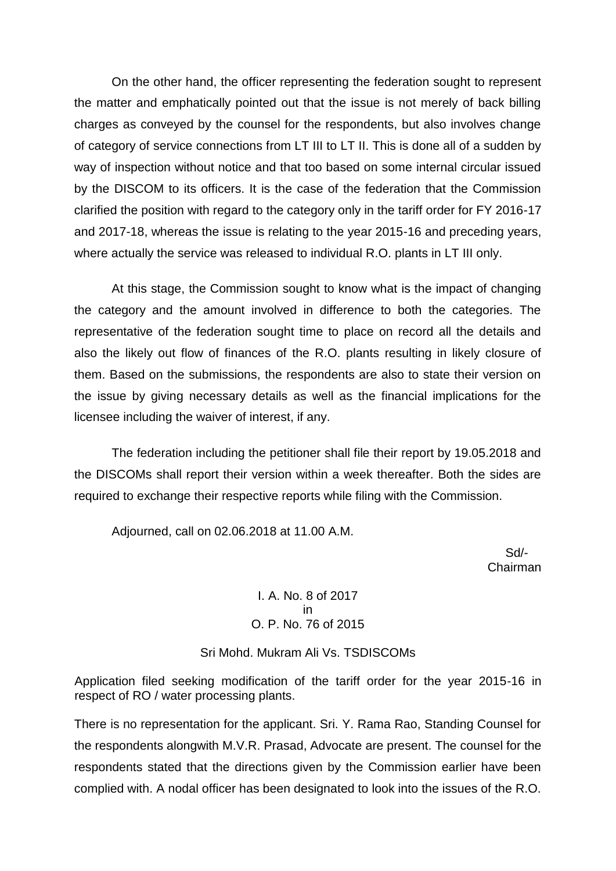On the other hand, the officer representing the federation sought to represent the matter and emphatically pointed out that the issue is not merely of back billing charges as conveyed by the counsel for the respondents, but also involves change of category of service connections from LT III to LT II. This is done all of a sudden by way of inspection without notice and that too based on some internal circular issued by the DISCOM to its officers. It is the case of the federation that the Commission clarified the position with regard to the category only in the tariff order for FY 2016-17 and 2017-18, whereas the issue is relating to the year 2015-16 and preceding years, where actually the service was released to individual R.O. plants in LT III only.

At this stage, the Commission sought to know what is the impact of changing the category and the amount involved in difference to both the categories. The representative of the federation sought time to place on record all the details and also the likely out flow of finances of the R.O. plants resulting in likely closure of them. Based on the submissions, the respondents are also to state their version on the issue by giving necessary details as well as the financial implications for the licensee including the waiver of interest, if any.

The federation including the petitioner shall file their report by 19.05.2018 and the DISCOMs shall report their version within a week thereafter. Both the sides are required to exchange their respective reports while filing with the Commission.

Adjourned, call on 02.06.2018 at 11.00 A.M.

 Sd/- Chairman

## I. A. No. 8 of 2017 in O. P. No. 76 of 2015

#### Sri Mohd. Mukram Ali Vs. TSDISCOMs

Application filed seeking modification of the tariff order for the year 2015-16 in respect of RO / water processing plants.

There is no representation for the applicant. Sri. Y. Rama Rao, Standing Counsel for the respondents alongwith M.V.R. Prasad, Advocate are present. The counsel for the respondents stated that the directions given by the Commission earlier have been complied with. A nodal officer has been designated to look into the issues of the R.O.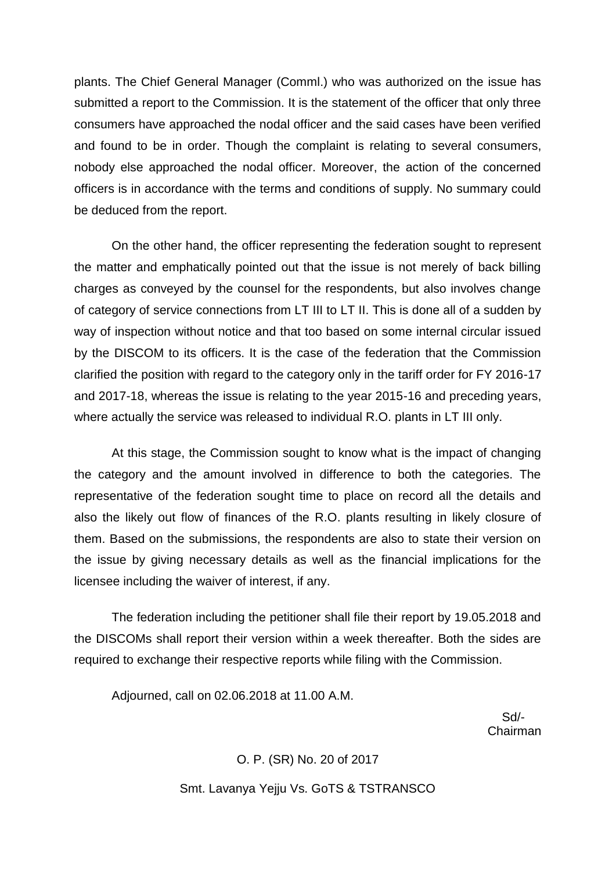plants. The Chief General Manager (Comml.) who was authorized on the issue has submitted a report to the Commission. It is the statement of the officer that only three consumers have approached the nodal officer and the said cases have been verified and found to be in order. Though the complaint is relating to several consumers, nobody else approached the nodal officer. Moreover, the action of the concerned officers is in accordance with the terms and conditions of supply. No summary could be deduced from the report.

On the other hand, the officer representing the federation sought to represent the matter and emphatically pointed out that the issue is not merely of back billing charges as conveyed by the counsel for the respondents, but also involves change of category of service connections from LT III to LT II. This is done all of a sudden by way of inspection without notice and that too based on some internal circular issued by the DISCOM to its officers. It is the case of the federation that the Commission clarified the position with regard to the category only in the tariff order for FY 2016-17 and 2017-18, whereas the issue is relating to the year 2015-16 and preceding years, where actually the service was released to individual R.O. plants in LT III only.

At this stage, the Commission sought to know what is the impact of changing the category and the amount involved in difference to both the categories. The representative of the federation sought time to place on record all the details and also the likely out flow of finances of the R.O. plants resulting in likely closure of them. Based on the submissions, the respondents are also to state their version on the issue by giving necessary details as well as the financial implications for the licensee including the waiver of interest, if any.

The federation including the petitioner shall file their report by 19.05.2018 and the DISCOMs shall report their version within a week thereafter. Both the sides are required to exchange their respective reports while filing with the Commission.

Adjourned, call on 02.06.2018 at 11.00 A.M.

 Sd/- Chairman

# O. P. (SR) No. 20 of 2017 Smt. Lavanya Yejju Vs. GoTS & TSTRANSCO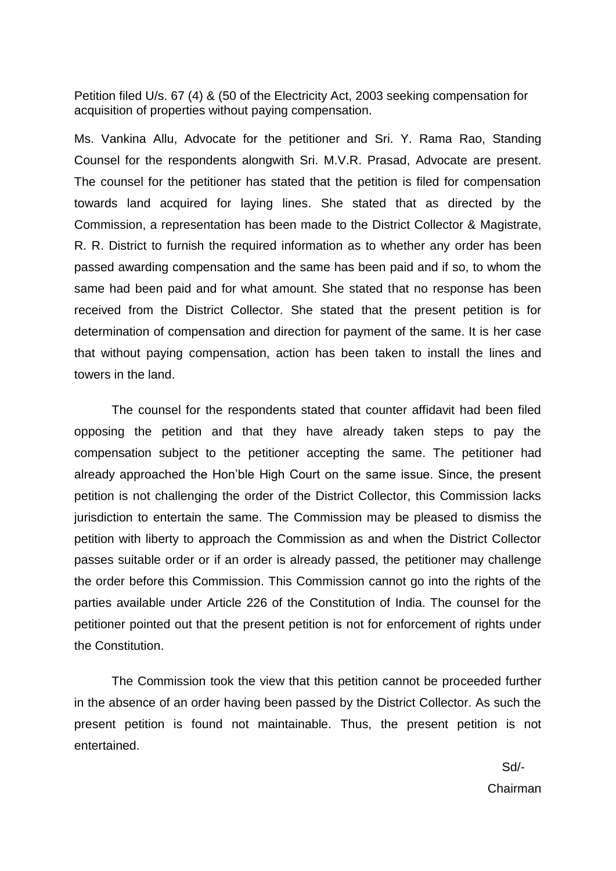Petition filed U/s. 67 (4) & (50 of the Electricity Act, 2003 seeking compensation for acquisition of properties without paying compensation.

Ms. Vankina Allu, Advocate for the petitioner and Sri. Y. Rama Rao, Standing Counsel for the respondents alongwith Sri. M.V.R. Prasad, Advocate are present. The counsel for the petitioner has stated that the petition is filed for compensation towards land acquired for laying lines. She stated that as directed by the Commission, a representation has been made to the District Collector & Magistrate, R. R. District to furnish the required information as to whether any order has been passed awarding compensation and the same has been paid and if so, to whom the same had been paid and for what amount. She stated that no response has been received from the District Collector. She stated that the present petition is for determination of compensation and direction for payment of the same. It is her case that without paying compensation, action has been taken to install the lines and towers in the land.

The counsel for the respondents stated that counter affidavit had been filed opposing the petition and that they have already taken steps to pay the compensation subject to the petitioner accepting the same. The petitioner had already approached the Hon'ble High Court on the same issue. Since, the present petition is not challenging the order of the District Collector, this Commission lacks jurisdiction to entertain the same. The Commission may be pleased to dismiss the petition with liberty to approach the Commission as and when the District Collector passes suitable order or if an order is already passed, the petitioner may challenge the order before this Commission. This Commission cannot go into the rights of the parties available under Article 226 of the Constitution of India. The counsel for the petitioner pointed out that the present petition is not for enforcement of rights under the Constitution.

The Commission took the view that this petition cannot be proceeded further in the absence of an order having been passed by the District Collector. As such the present petition is found not maintainable. Thus, the present petition is not entertained.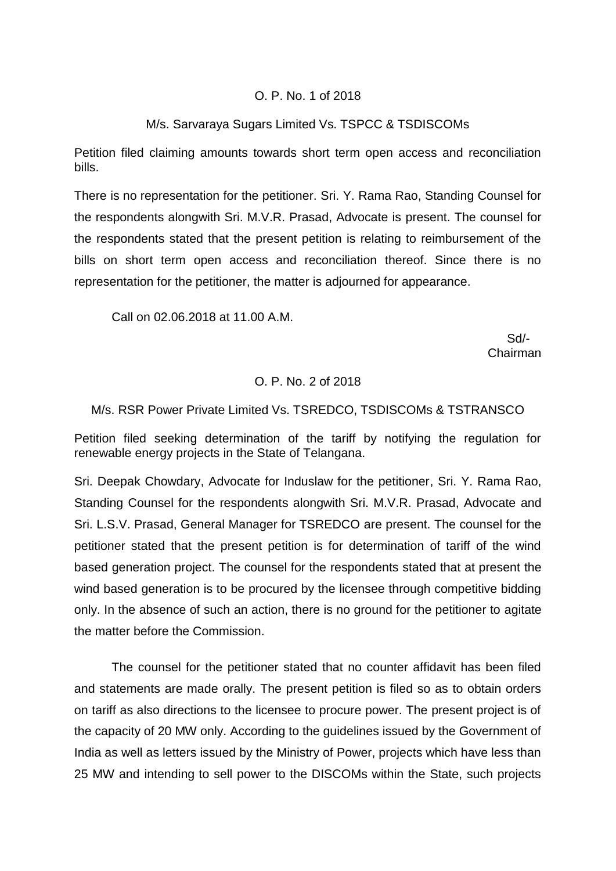## O. P. No. 1 of 2018

## M/s. Sarvaraya Sugars Limited Vs. TSPCC & TSDISCOMs

Petition filed claiming amounts towards short term open access and reconciliation bills.

There is no representation for the petitioner. Sri. Y. Rama Rao, Standing Counsel for the respondents alongwith Sri. M.V.R. Prasad, Advocate is present. The counsel for the respondents stated that the present petition is relating to reimbursement of the bills on short term open access and reconciliation thereof. Since there is no representation for the petitioner, the matter is adjourned for appearance.

Call on 02.06.2018 at 11.00 A.M.

 Sd/- Chairman

### O. P. No. 2 of 2018

## M/s. RSR Power Private Limited Vs. TSREDCO, TSDISCOMs & TSTRANSCO

Petition filed seeking determination of the tariff by notifying the regulation for renewable energy projects in the State of Telangana.

Sri. Deepak Chowdary, Advocate for Induslaw for the petitioner, Sri. Y. Rama Rao, Standing Counsel for the respondents alongwith Sri. M.V.R. Prasad, Advocate and Sri. L.S.V. Prasad, General Manager for TSREDCO are present. The counsel for the petitioner stated that the present petition is for determination of tariff of the wind based generation project. The counsel for the respondents stated that at present the wind based generation is to be procured by the licensee through competitive bidding only. In the absence of such an action, there is no ground for the petitioner to agitate the matter before the Commission.

The counsel for the petitioner stated that no counter affidavit has been filed and statements are made orally. The present petition is filed so as to obtain orders on tariff as also directions to the licensee to procure power. The present project is of the capacity of 20 MW only. According to the guidelines issued by the Government of India as well as letters issued by the Ministry of Power, projects which have less than 25 MW and intending to sell power to the DISCOMs within the State, such projects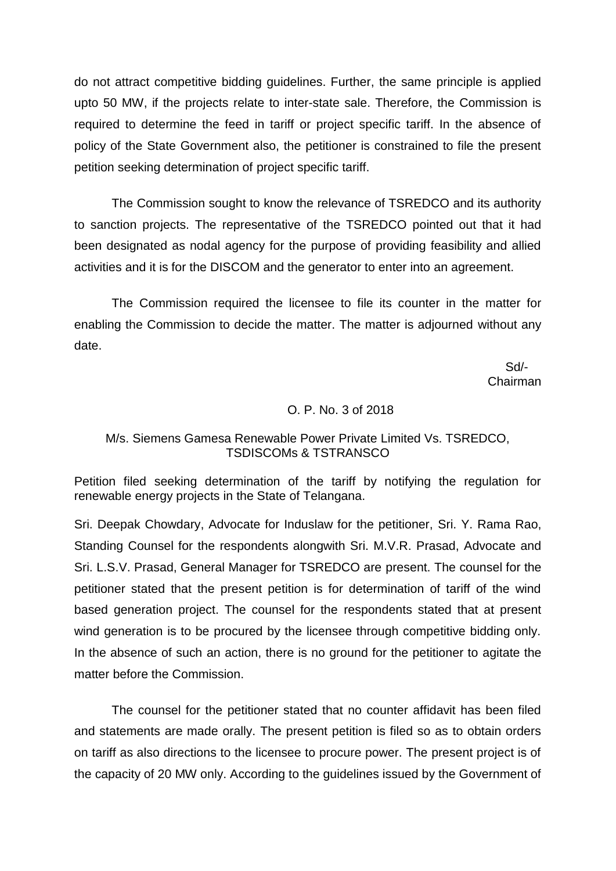do not attract competitive bidding guidelines. Further, the same principle is applied upto 50 MW, if the projects relate to inter-state sale. Therefore, the Commission is required to determine the feed in tariff or project specific tariff. In the absence of policy of the State Government also, the petitioner is constrained to file the present petition seeking determination of project specific tariff.

The Commission sought to know the relevance of TSREDCO and its authority to sanction projects. The representative of the TSREDCO pointed out that it had been designated as nodal agency for the purpose of providing feasibility and allied activities and it is for the DISCOM and the generator to enter into an agreement.

The Commission required the licensee to file its counter in the matter for enabling the Commission to decide the matter. The matter is adjourned without any date.

 Sd/- Chairman

#### O. P. No. 3 of 2018

#### M/s. Siemens Gamesa Renewable Power Private Limited Vs. TSREDCO, TSDISCOMs & TSTRANSCO

Petition filed seeking determination of the tariff by notifying the regulation for renewable energy projects in the State of Telangana.

Sri. Deepak Chowdary, Advocate for Induslaw for the petitioner, Sri. Y. Rama Rao, Standing Counsel for the respondents alongwith Sri. M.V.R. Prasad, Advocate and Sri. L.S.V. Prasad, General Manager for TSREDCO are present. The counsel for the petitioner stated that the present petition is for determination of tariff of the wind based generation project. The counsel for the respondents stated that at present wind generation is to be procured by the licensee through competitive bidding only. In the absence of such an action, there is no ground for the petitioner to agitate the matter before the Commission.

The counsel for the petitioner stated that no counter affidavit has been filed and statements are made orally. The present petition is filed so as to obtain orders on tariff as also directions to the licensee to procure power. The present project is of the capacity of 20 MW only. According to the guidelines issued by the Government of